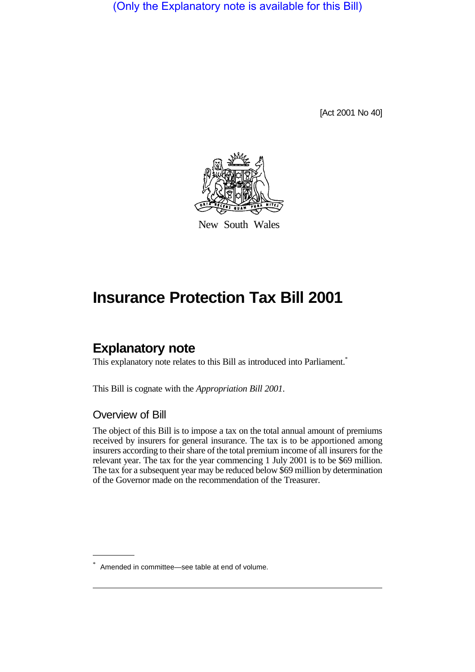(Only the Explanatory note is available for this Bill)

[Act 2001 No 40]



New South Wales

# **Insurance Protection Tax Bill 2001**

## **Explanatory note**

This explanatory note relates to this Bill as introduced into Parliament.<sup>\*</sup>

This Bill is cognate with the *Appropriation Bill 2001*.

#### Overview of Bill

The object of this Bill is to impose a tax on the total annual amount of premiums received by insurers for general insurance. The tax is to be apportioned among insurers according to their share of the total premium income of all insurers for the relevant year. The tax for the year commencing 1 July 2001 is to be \$69 million. The tax for a subsequent year may be reduced below \$69 million by determination of the Governor made on the recommendation of the Treasurer.

<sup>\*</sup> Amended in committee—see table at end of volume.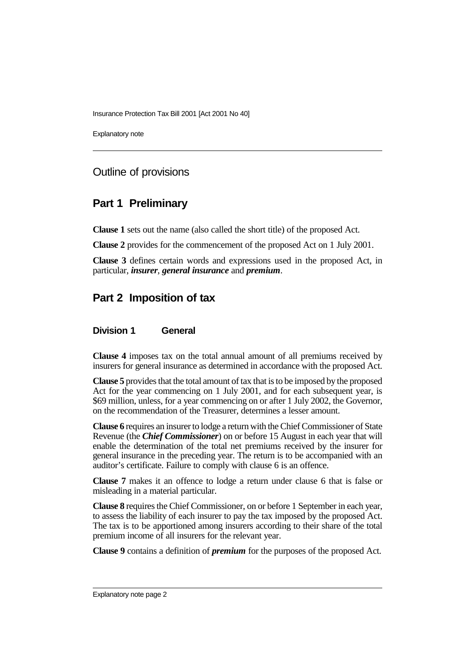Insurance Protection Tax Bill 2001 [Act 2001 No 40]

Explanatory note

## Outline of provisions

## **Part 1 Preliminary**

**Clause 1** sets out the name (also called the short title) of the proposed Act.

**Clause 2** provides for the commencement of the proposed Act on 1 July 2001.

**Clause 3** defines certain words and expressions used in the proposed Act, in particular, *insurer*, *general insurance* and *premium*.

## **Part 2 Imposition of tax**

#### **Division 1 General**

**Clause 4** imposes tax on the total annual amount of all premiums received by insurers for general insurance as determined in accordance with the proposed Act.

**Clause 5** provides that the total amount of tax that is to be imposed by the proposed Act for the year commencing on 1 July 2001, and for each subsequent year, is \$69 million, unless, for a year commencing on or after 1 July 2002, the Governor, on the recommendation of the Treasurer, determines a lesser amount.

**Clause 6** requires an insurer to lodge a return with the Chief Commissioner of State Revenue (the *Chief Commissioner*) on or before 15 August in each year that will enable the determination of the total net premiums received by the insurer for general insurance in the preceding year. The return is to be accompanied with an auditor's certificate. Failure to comply with clause 6 is an offence.

**Clause 7** makes it an offence to lodge a return under clause 6 that is false or misleading in a material particular.

**Clause 8** requires the Chief Commissioner, on or before 1 September in each year, to assess the liability of each insurer to pay the tax imposed by the proposed Act. The tax is to be apportioned among insurers according to their share of the total premium income of all insurers for the relevant year.

**Clause 9** contains a definition of *premium* for the purposes of the proposed Act.

Explanatory note page 2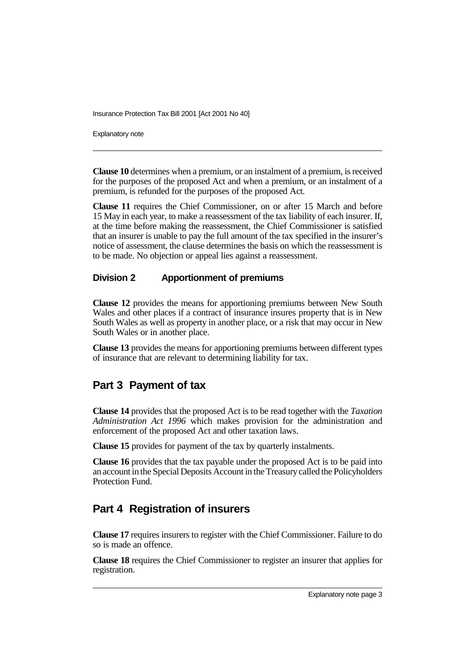Insurance Protection Tax Bill 2001 [Act 2001 No 40]

Explanatory note

**Clause 10** determines when a premium, or an instalment of a premium, is received for the purposes of the proposed Act and when a premium, or an instalment of a premium, is refunded for the purposes of the proposed Act.

**Clause 11** requires the Chief Commissioner, on or after 15 March and before 15 May in each year, to make a reassessment of the tax liability of each insurer. If, at the time before making the reassessment, the Chief Commissioner is satisfied that an insurer is unable to pay the full amount of the tax specified in the insurer's notice of assessment, the clause determines the basis on which the reassessment is to be made. No objection or appeal lies against a reassessment.

#### **Division 2 Apportionment of premiums**

**Clause 12** provides the means for apportioning premiums between New South Wales and other places if a contract of insurance insures property that is in New South Wales as well as property in another place, or a risk that may occur in New South Wales or in another place.

**Clause 13** provides the means for apportioning premiums between different types of insurance that are relevant to determining liability for tax.

## **Part 3 Payment of tax**

**Clause 14** provides that the proposed Act is to be read together with the *Taxation Administration Act 1996* which makes provision for the administration and enforcement of the proposed Act and other taxation laws.

**Clause 15** provides for payment of the tax by quarterly instalments.

**Clause 16** provides that the tax payable under the proposed Act is to be paid into an account in the Special Deposits Account in the Treasury called the Policyholders Protection Fund.

## **Part 4 Registration of insurers**

**Clause 17** requires insurers to register with the Chief Commissioner. Failure to do so is made an offence.

**Clause 18** requires the Chief Commissioner to register an insurer that applies for registration.